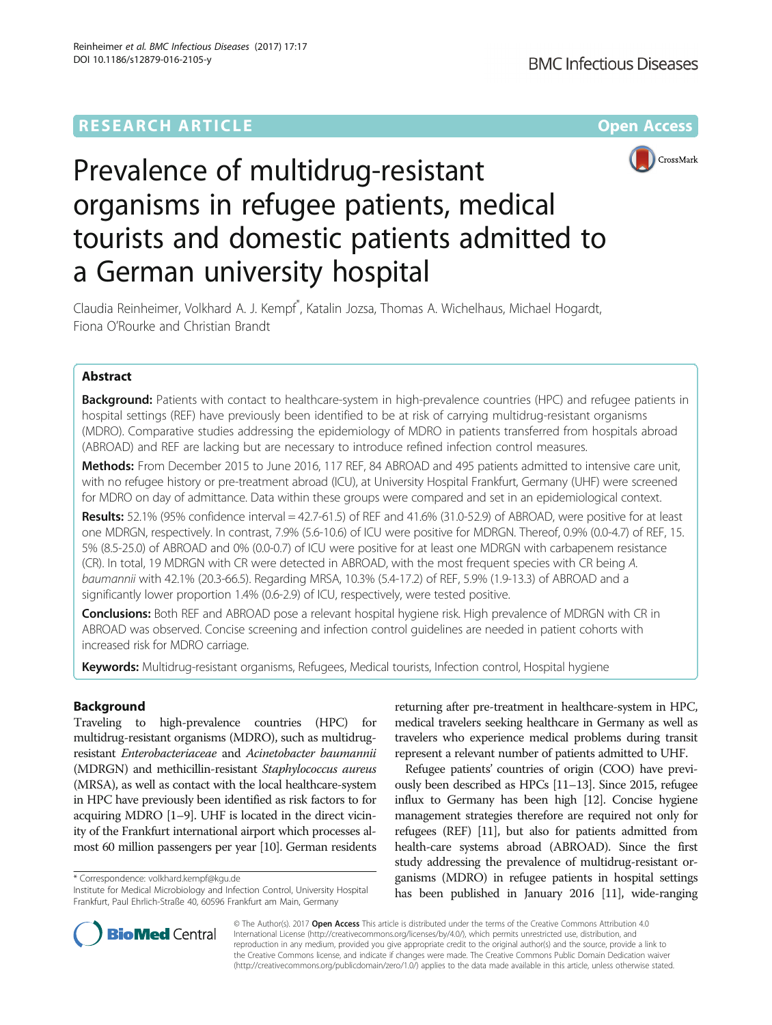## **RESEARCH ARTICLE External Structure Community Community Community Community Community Community Community Community**





# Prevalence of multidrug-resistant organisms in refugee patients, medical tourists and domestic patients admitted to a German university hospital

Claudia Reinheimer, Volkhard A. J. Kempf\* , Katalin Jozsa, Thomas A. Wichelhaus, Michael Hogardt, Fiona O'Rourke and Christian Brandt

## Abstract

**Background:** Patients with contact to healthcare-system in high-prevalence countries (HPC) and refugee patients in hospital settings (REF) have previously been identified to be at risk of carrying multidrug-resistant organisms (MDRO). Comparative studies addressing the epidemiology of MDRO in patients transferred from hospitals abroad (ABROAD) and REF are lacking but are necessary to introduce refined infection control measures.

Methods: From December 2015 to June 2016, 117 REF, 84 ABROAD and 495 patients admitted to intensive care unit, with no refugee history or pre-treatment abroad (ICU), at University Hospital Frankfurt, Germany (UHF) were screened for MDRO on day of admittance. Data within these groups were compared and set in an epidemiological context.

Results: 52.1% (95% confidence interval = 42.7-61.5) of REF and 41.6% (31.0-52.9) of ABROAD, were positive for at least one MDRGN, respectively. In contrast, 7.9% (5.6-10.6) of ICU were positive for MDRGN. Thereof, 0.9% (0.0-4.7) of REF, 15. 5% (8.5-25.0) of ABROAD and 0% (0.0-0.7) of ICU were positive for at least one MDRGN with carbapenem resistance (CR). In total, 19 MDRGN with CR were detected in ABROAD, with the most frequent species with CR being A. baumannii with 42.1% (20.3-66.5). Regarding MRSA, 10.3% (5.4-17.2) of REF, 5.9% (1.9-13.3) of ABROAD and a significantly lower proportion 1.4% (0.6-2.9) of ICU, respectively, were tested positive.

Conclusions: Both REF and ABROAD pose a relevant hospital hygiene risk. High prevalence of MDRGN with CR in ABROAD was observed. Concise screening and infection control guidelines are needed in patient cohorts with increased risk for MDRO carriage.

Keywords: Multidrug-resistant organisms, Refugees, Medical tourists, Infection control, Hospital hygiene

## Background

Traveling to high-prevalence countries (HPC) for multidrug-resistant organisms (MDRO), such as multidrugresistant Enterobacteriaceae and Acinetobacter baumannii (MDRGN) and methicillin-resistant Staphylococcus aureus (MRSA), as well as contact with the local healthcare-system in HPC have previously been identified as risk factors to for acquiring MDRO [[1](#page-6-0)–[9\]](#page-6-0). UHF is located in the direct vicinity of the Frankfurt international airport which processes almost 60 million passengers per year [\[10\]](#page-6-0). German residents

\* Correspondence: [volkhard.kempf@kgu.de](mailto:volkhard.kempf@kgu.de)

Institute for Medical Microbiology and Infection Control, University Hospital Frankfurt, Paul Ehrlich-Straße 40, 60596 Frankfurt am Main, Germany

returning after pre-treatment in healthcare-system in HPC, medical travelers seeking healthcare in Germany as well as travelers who experience medical problems during transit represent a relevant number of patients admitted to UHF.

Refugee patients' countries of origin (COO) have previously been described as HPCs [[11](#page-6-0)–[13](#page-6-0)]. Since 2015, refugee influx to Germany has been high [\[12\]](#page-6-0). Concise hygiene management strategies therefore are required not only for refugees (REF) [\[11\]](#page-6-0), but also for patients admitted from health-care systems abroad (ABROAD). Since the first study addressing the prevalence of multidrug-resistant organisms (MDRO) in refugee patients in hospital settings has been published in January 2016 [\[11\]](#page-6-0), wide-ranging



© The Author(s). 2017 **Open Access** This article is distributed under the terms of the Creative Commons Attribution 4.0 International License [\(http://creativecommons.org/licenses/by/4.0/](http://creativecommons.org/licenses/by/4.0/)), which permits unrestricted use, distribution, and reproduction in any medium, provided you give appropriate credit to the original author(s) and the source, provide a link to the Creative Commons license, and indicate if changes were made. The Creative Commons Public Domain Dedication waiver [\(http://creativecommons.org/publicdomain/zero/1.0/](http://creativecommons.org/publicdomain/zero/1.0/)) applies to the data made available in this article, unless otherwise stated.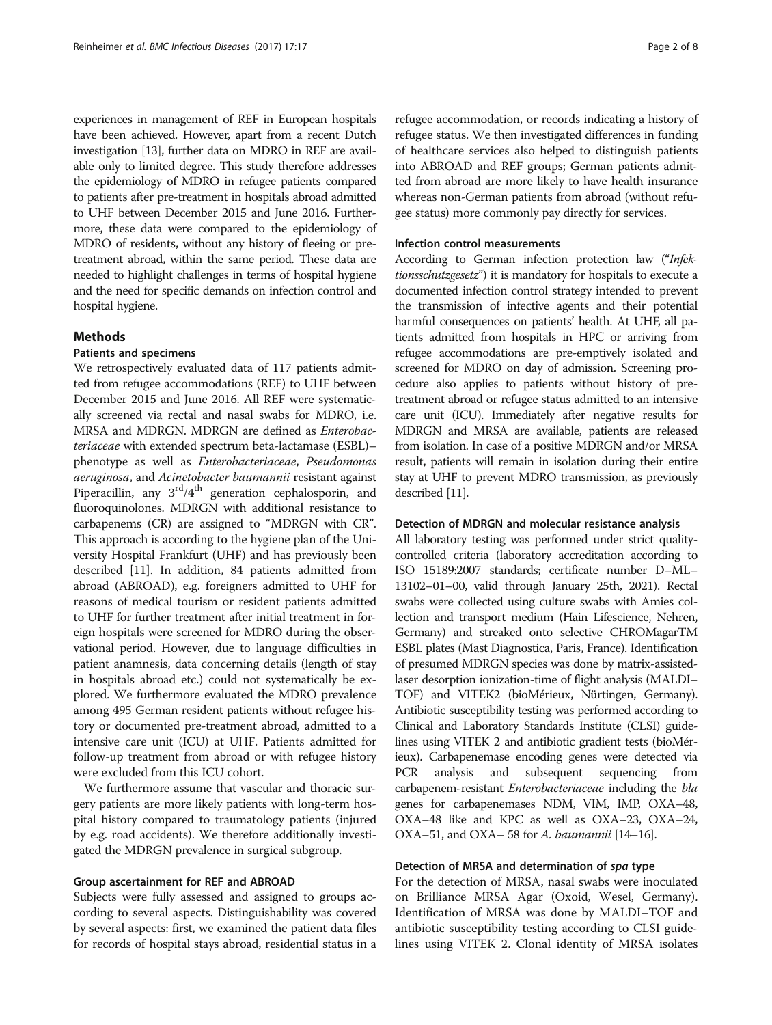experiences in management of REF in European hospitals have been achieved. However, apart from a recent Dutch investigation [\[13](#page-6-0)], further data on MDRO in REF are available only to limited degree. This study therefore addresses the epidemiology of MDRO in refugee patients compared to patients after pre-treatment in hospitals abroad admitted to UHF between December 2015 and June 2016. Furthermore, these data were compared to the epidemiology of MDRO of residents, without any history of fleeing or pretreatment abroad, within the same period. These data are needed to highlight challenges in terms of hospital hygiene and the need for specific demands on infection control and hospital hygiene.

### Methods

## Patients and specimens

We retrospectively evaluated data of 117 patients admitted from refugee accommodations (REF) to UHF between December 2015 and June 2016. All REF were systematically screened via rectal and nasal swabs for MDRO, i.e. MRSA and MDRGN. MDRGN are defined as Enterobacteriaceae with extended spectrum beta-lactamase (ESBL)– phenotype as well as Enterobacteriaceae, Pseudomonas aeruginosa, and Acinetobacter baumannii resistant against Piperacillin, any  $3<sup>rd</sup>/4<sup>th</sup>$  generation cephalosporin, and fluoroquinolones. MDRGN with additional resistance to carbapenems (CR) are assigned to "MDRGN with CR". This approach is according to the hygiene plan of the University Hospital Frankfurt (UHF) and has previously been described [\[11\]](#page-6-0). In addition, 84 patients admitted from abroad (ABROAD), e.g. foreigners admitted to UHF for reasons of medical tourism or resident patients admitted to UHF for further treatment after initial treatment in foreign hospitals were screened for MDRO during the observational period. However, due to language difficulties in patient anamnesis, data concerning details (length of stay in hospitals abroad etc.) could not systematically be explored. We furthermore evaluated the MDRO prevalence among 495 German resident patients without refugee history or documented pre-treatment abroad, admitted to a intensive care unit (ICU) at UHF. Patients admitted for follow-up treatment from abroad or with refugee history were excluded from this ICU cohort.

We furthermore assume that vascular and thoracic surgery patients are more likely patients with long-term hospital history compared to traumatology patients (injured by e.g. road accidents). We therefore additionally investigated the MDRGN prevalence in surgical subgroup.

## Group ascertainment for REF and ABROAD

Subjects were fully assessed and assigned to groups according to several aspects. Distinguishability was covered by several aspects: first, we examined the patient data files for records of hospital stays abroad, residential status in a

refugee accommodation, or records indicating a history of refugee status. We then investigated differences in funding of healthcare services also helped to distinguish patients into ABROAD and REF groups; German patients admitted from abroad are more likely to have health insurance whereas non-German patients from abroad (without refugee status) more commonly pay directly for services.

## Infection control measurements

According to German infection protection law ("Infektionsschutzgesetz") it is mandatory for hospitals to execute a documented infection control strategy intended to prevent the transmission of infective agents and their potential harmful consequences on patients' health. At UHF, all patients admitted from hospitals in HPC or arriving from refugee accommodations are pre-emptively isolated and screened for MDRO on day of admission. Screening procedure also applies to patients without history of pretreatment abroad or refugee status admitted to an intensive care unit (ICU). Immediately after negative results for MDRGN and MRSA are available, patients are released from isolation. In case of a positive MDRGN and/or MRSA result, patients will remain in isolation during their entire stay at UHF to prevent MDRO transmission, as previously described [\[11\]](#page-6-0).

#### Detection of MDRGN and molecular resistance analysis

All laboratory testing was performed under strict qualitycontrolled criteria (laboratory accreditation according to ISO 15189:2007 standards; certificate number D–ML– 13102–01–00, valid through January 25th, 2021). Rectal swabs were collected using culture swabs with Amies collection and transport medium (Hain Lifescience, Nehren, Germany) and streaked onto selective CHROMagarTM ESBL plates (Mast Diagnostica, Paris, France). Identification of presumed MDRGN species was done by matrix-assistedlaser desorption ionization-time of flight analysis (MALDI– TOF) and VITEK2 (bioMérieux, Nürtingen, Germany). Antibiotic susceptibility testing was performed according to Clinical and Laboratory Standards Institute (CLSI) guidelines using VITEK 2 and antibiotic gradient tests (bioMérieux). Carbapenemase encoding genes were detected via PCR analysis and subsequent sequencing from carbapenem-resistant Enterobacteriaceae including the bla genes for carbapenemases NDM, VIM, IMP, OXA–48, OXA–48 like and KPC as well as OXA–23, OXA–24, OXA–51, and OXA– 58 for A. baumannii  $[14–16]$  $[14–16]$  $[14–16]$ .

## Detection of MRSA and determination of spa type

For the detection of MRSA, nasal swabs were inoculated on Brilliance MRSA Agar (Oxoid, Wesel, Germany). Identification of MRSA was done by MALDI–TOF and antibiotic susceptibility testing according to CLSI guidelines using VITEK 2. Clonal identity of MRSA isolates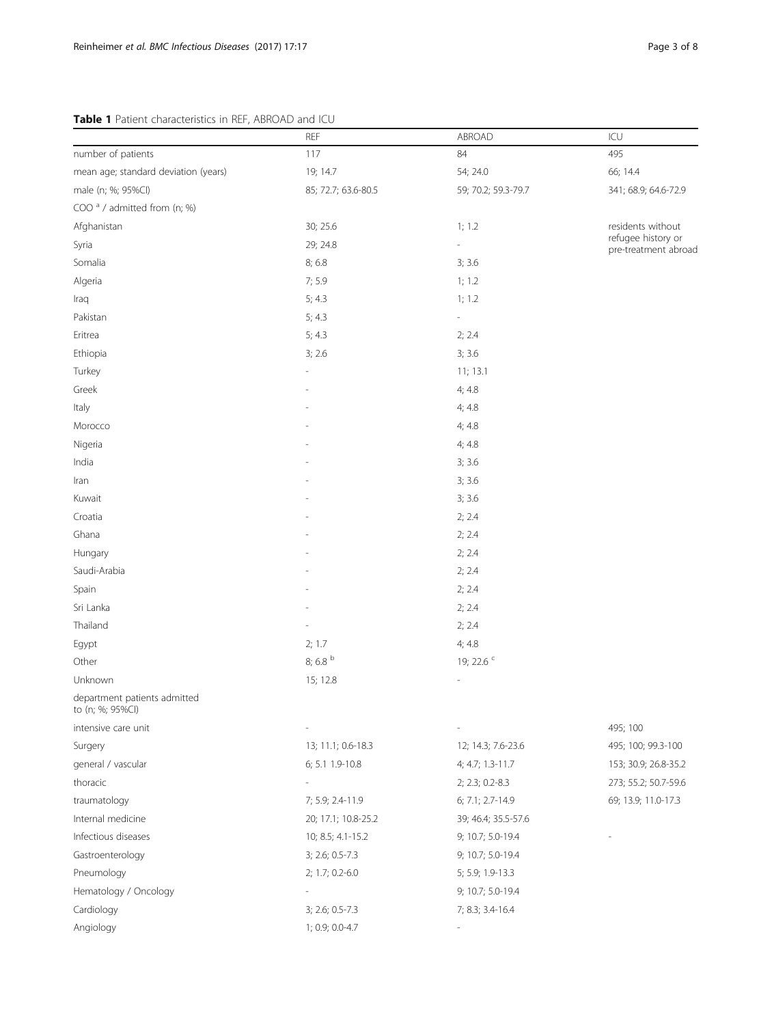## <span id="page-2-0"></span>Table 1 Patient characteristics in REF, ABROAD and ICU

|                                                  | <b>REF</b>          | ABROAD              | ICU                                        |
|--------------------------------------------------|---------------------|---------------------|--------------------------------------------|
| number of patients                               | 117                 | 84                  | 495                                        |
| mean age; standard deviation (years)             | 19; 14.7            | 54; 24.0            | 66; 14.4                                   |
| male (n; %; 95%Cl)                               | 85; 72.7; 63.6-80.5 | 59; 70.2; 59.3-79.7 | 341; 68.9; 64.6-72.9                       |
| COO <sup>a</sup> / admitted from (n; %)          |                     |                     |                                            |
| Afghanistan                                      | 30; 25.6            | 1; 1.2              | residents without                          |
| Syria                                            | 29; 24.8            |                     | refugee history or<br>pre-treatment abroad |
| Somalia                                          | 8;6.8               | 3; 3.6              |                                            |
| Algeria                                          | 7; 5.9              | 1; 1.2              |                                            |
| Iraq                                             | 5; 4.3              | 1; 1.2              |                                            |
| Pakistan                                         | 5; 4.3              |                     |                                            |
| Eritrea                                          | 5; 4.3              | 2; 2.4              |                                            |
| Ethiopia                                         | 3; 2.6              | 3; 3.6              |                                            |
| Turkey                                           |                     | 11; 13.1            |                                            |
| Greek                                            |                     | 4; 4.8              |                                            |
| Italy                                            |                     | 4; 4.8              |                                            |
| Morocco                                          |                     | 4; 4.8              |                                            |
| Nigeria                                          |                     | 4; 4.8              |                                            |
| India                                            |                     | 3; 3.6              |                                            |
| Iran                                             |                     | 3; 3.6              |                                            |
| Kuwait                                           |                     | 3; 3.6              |                                            |
| Croatia                                          |                     | 2; 2.4              |                                            |
| Ghana                                            |                     | 2; 2.4              |                                            |
| Hungary                                          |                     | 2; 2.4              |                                            |
| Saudi-Arabia                                     |                     | 2; 2.4              |                                            |
| Spain                                            |                     | 2; 2.4              |                                            |
| Sri Lanka                                        |                     | 2; 2.4              |                                            |
| Thailand                                         |                     | 2; 2.4              |                                            |
| Egypt                                            | 2; 1.7              | 4; 4.8              |                                            |
| Other                                            | 8; 6.8 $b$          | 19; 22.6 °          |                                            |
| Unknown                                          | 15; 12.8            |                     |                                            |
| department patients admitted<br>to (n; %; 95%Cl) |                     |                     |                                            |
| intensive care unit                              |                     |                     | 495; 100                                   |
| Surgery                                          | 13; 11.1; 0.6-18.3  | 12; 14.3; 7.6-23.6  | 495; 100; 99.3-100                         |
| general / vascular                               | 6; 5.1 1.9-10.8     | 4; 4.7; 1.3-11.7    | 153; 30.9; 26.8-35.2                       |
| thoracic                                         |                     | 2; 2.3; 0.2-8.3     | 273; 55.2; 50.7-59.6                       |
| traumatology                                     | 7; 5.9; 2.4-11.9    | 6; 7.1; 2.7-14.9    | 69; 13.9; 11.0-17.3                        |
| Internal medicine                                | 20; 17.1; 10.8-25.2 | 39; 46.4; 35.5-57.6 |                                            |
| Infectious diseases                              | 10; 8.5; 4.1-15.2   | 9; 10.7; 5.0-19.4   |                                            |
| Gastroenterology                                 | 3; 2.6; 0.5-7.3     | 9; 10.7; 5.0-19.4   |                                            |
| Pneumology                                       | 2; 1.7; 0.2-6.0     | 5; 5.9; 1.9-13.3    |                                            |
| Hematology / Oncology                            |                     | 9; 10.7; 5.0-19.4   |                                            |
| Cardiology                                       | 3; 2.6; 0.5-7.3     | 7; 8.3; 3.4-16.4    |                                            |
| Angiology                                        | 1; 0.9; 0.0-4.7     |                     |                                            |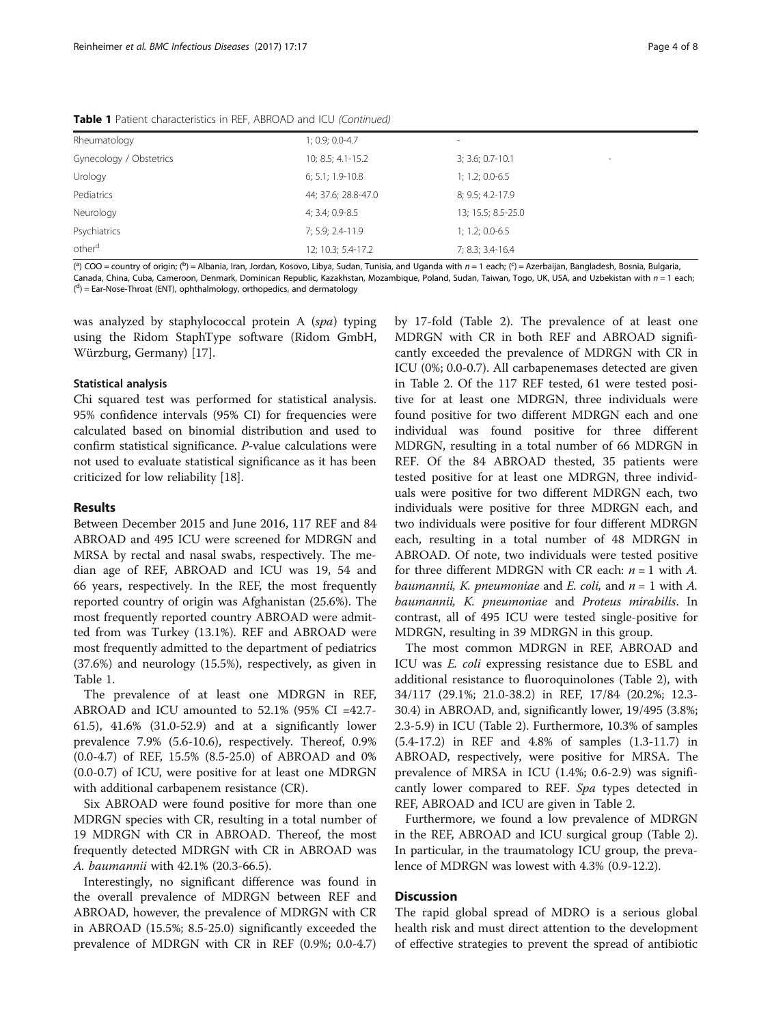| <b>Table 1</b> Patient characteristics in REF, ABROAD and ICU (Continued) |  |  |
|---------------------------------------------------------------------------|--|--|
|---------------------------------------------------------------------------|--|--|

| $3; 3.6; 0.7-10.1$<br>٠ |
|-------------------------|
| $1; 1.2; 0.0 - 6.5$     |
| 8; 9.5; 4.2-17.9        |
| 13; 15.5; 8.5-25.0      |
| $1; 1.2; 0.0 - 6.5$     |
| 7; 8.3; 3.4-16.4        |
|                         |

(ª) COO = country of origin; (ʰ) = Albania, Iran, Jordan, Kosovo, Libya, Sudan, Tunisia, and Uganda with n = 1 each; (ˤ) = Azerbaijan, Bangladesh, Bosnia, Bulgaria,<br>Canada China, Cuba, Cameroon, Denmark, Dominican Benublic Canada, China, Cuba, Cameroon, Denmark, Dominican Republic, Kazakhstan, Mozambique, Poland, Sudan, Taiwan, Togo, UK, USA, and Uzbekistan with  $n = 1$  each; (<sup>d</sup>) = Ear-Nose-Throat (ENT), ophthalmology, orthopedics, and dermatology

was analyzed by staphylococcal protein A (spa) typing using the Ridom StaphType software (Ridom GmbH, Würzburg, Germany) [\[17\]](#page-7-0).

### Statistical analysis

Chi squared test was performed for statistical analysis. 95% confidence intervals (95% CI) for frequencies were calculated based on binomial distribution and used to confirm statistical significance. P-value calculations were not used to evaluate statistical significance as it has been criticized for low reliability [[18\]](#page-7-0).

## Results

Between December 2015 and June 2016, 117 REF and 84 ABROAD and 495 ICU were screened for MDRGN and MRSA by rectal and nasal swabs, respectively. The median age of REF, ABROAD and ICU was 19, 54 and 66 years, respectively. In the REF, the most frequently reported country of origin was Afghanistan (25.6%). The most frequently reported country ABROAD were admitted from was Turkey (13.1%). REF and ABROAD were most frequently admitted to the department of pediatrics (37.6%) and neurology (15.5%), respectively, as given in Table [1.](#page-2-0)

The prevalence of at least one MDRGN in REF, ABROAD and ICU amounted to 52.1% (95% CI =42.7- 61.5), 41.6% (31.0-52.9) and at a significantly lower prevalence 7.9% (5.6-10.6), respectively. Thereof, 0.9% (0.0-4.7) of REF, 15.5% (8.5-25.0) of ABROAD and 0% (0.0-0.7) of ICU, were positive for at least one MDRGN with additional carbapenem resistance (CR).

Six ABROAD were found positive for more than one MDRGN species with CR, resulting in a total number of 19 MDRGN with CR in ABROAD. Thereof, the most frequently detected MDRGN with CR in ABROAD was A. baumannii with 42.1% (20.3-66.5).

Interestingly, no significant difference was found in the overall prevalence of MDRGN between REF and ABROAD, however, the prevalence of MDRGN with CR in ABROAD (15.5%; 8.5-25.0) significantly exceeded the prevalence of MDRGN with CR in REF (0.9%; 0.0-4.7)

by 17-fold (Table [2\)](#page-4-0). The prevalence of at least one MDRGN with CR in both REF and ABROAD significantly exceeded the prevalence of MDRGN with CR in ICU (0%; 0.0-0.7). All carbapenemases detected are given in Table [2](#page-4-0). Of the 117 REF tested, 61 were tested positive for at least one MDRGN, three individuals were found positive for two different MDRGN each and one individual was found positive for three different MDRGN, resulting in a total number of 66 MDRGN in REF. Of the 84 ABROAD thested, 35 patients were tested positive for at least one MDRGN, three individuals were positive for two different MDRGN each, two individuals were positive for three MDRGN each, and two individuals were positive for four different MDRGN each, resulting in a total number of 48 MDRGN in ABROAD. Of note, two individuals were tested positive for three different MDRGN with CR each:  $n = 1$  with A. baumannii, K. pneumoniae and E. coli, and  $n = 1$  with A. baumannii, K. pneumoniae and Proteus mirabilis. In contrast, all of 495 ICU were tested single-positive for MDRGN, resulting in 39 MDRGN in this group.

The most common MDRGN in REF, ABROAD and ICU was E. coli expressing resistance due to ESBL and additional resistance to fluoroquinolones (Table [2\)](#page-4-0), with 34/117 (29.1%; 21.0-38.2) in REF, 17/84 (20.2%; 12.3- 30.4) in ABROAD, and, significantly lower, 19/495 (3.8%; 2.3-5.9) in ICU (Table [2\)](#page-4-0). Furthermore, 10.3% of samples (5.4-17.2) in REF and 4.8% of samples (1.3-11.7) in ABROAD, respectively, were positive for MRSA. The prevalence of MRSA in ICU (1.4%; 0.6-2.9) was significantly lower compared to REF. Spa types detected in REF, ABROAD and ICU are given in Table [2](#page-4-0).

Furthermore, we found a low prevalence of MDRGN in the REF, ABROAD and ICU surgical group (Table [2](#page-4-0)). In particular, in the traumatology ICU group, the prevalence of MDRGN was lowest with 4.3% (0.9-12.2).

## **Discussion**

The rapid global spread of MDRO is a serious global health risk and must direct attention to the development of effective strategies to prevent the spread of antibiotic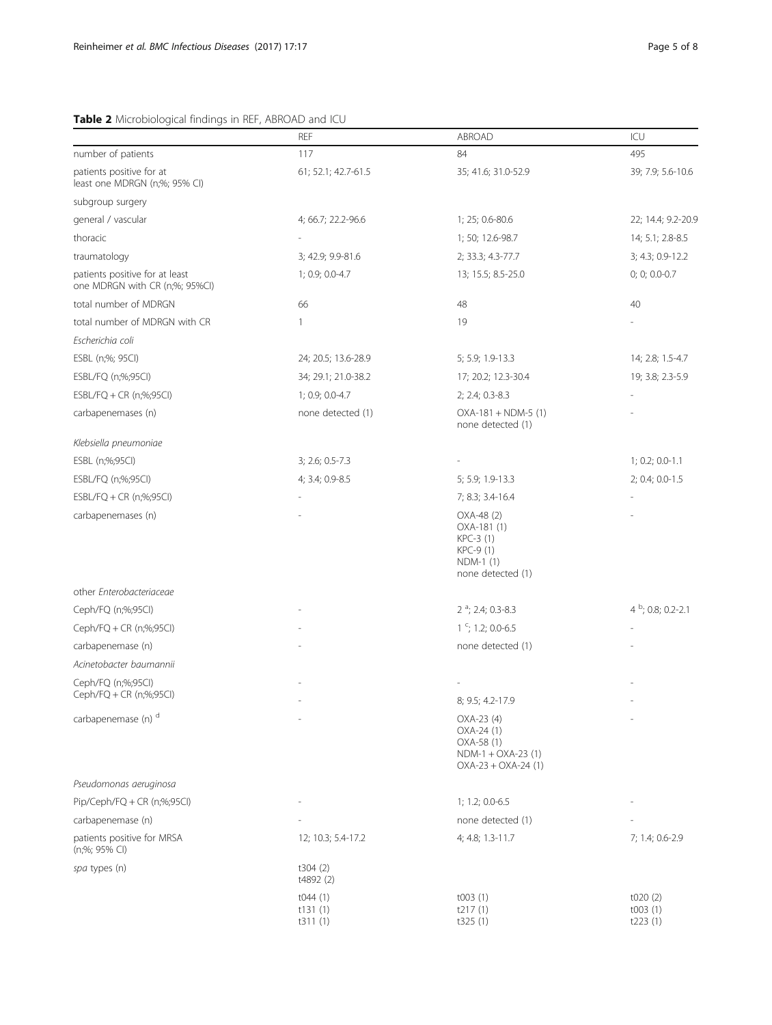## <span id="page-4-0"></span>Table 2 Microbiological findings in REF, ABROAD and ICU

|                                                                  | REF                           | <b>ABROAD</b>                                                                          | ICU                           |
|------------------------------------------------------------------|-------------------------------|----------------------------------------------------------------------------------------|-------------------------------|
| number of patients                                               | 117                           | 84                                                                                     | 495                           |
| patients positive for at<br>least one MDRGN (n;%; 95% CI)        | 61; 52.1; 42.7-61.5           | 35; 41.6; 31.0-52.9                                                                    | 39; 7.9; 5.6-10.6             |
| subgroup surgery                                                 |                               |                                                                                        |                               |
| general / vascular                                               | 4; 66.7; 22.2-96.6            | 1; 25; 0.6-80.6                                                                        | 22; 14.4; 9.2-20.9            |
| thoracic                                                         |                               | 1; 50; 12.6-98.7                                                                       | 14; 5.1; 2.8-8.5              |
| traumatology                                                     | 3; 42.9; 9.9-81.6             | 2; 33.3; 4.3-77.7                                                                      | 3; 4.3; 0.9-12.2              |
| patients positive for at least<br>one MDRGN with CR (n;%; 95%Cl) | 1; 0.9; 0.0-4.7               | 13; 15.5; 8.5-25.0                                                                     | 0; 0; 0.0-0.7                 |
| total number of MDRGN                                            | 66                            | 48                                                                                     | 40                            |
| total number of MDRGN with CR                                    | 1                             | 19                                                                                     |                               |
| Escherichia coli                                                 |                               |                                                                                        |                               |
| ESBL (n;%; 95Cl)                                                 | 24; 20.5; 13.6-28.9           | 5; 5.9; 1.9-13.3                                                                       | 14; 2.8; 1.5-4.7              |
| ESBL/FQ (n;%;95Cl)                                               | 34; 29.1; 21.0-38.2           | 17; 20.2; 12.3-30.4                                                                    | 19; 3.8; 2.3-5.9              |
| ESBL/FQ + CR (n;%;95Cl)                                          | 1; 0.9; 0.0-4.7               | 2; 2.4; 0.3-8.3                                                                        |                               |
| carbapenemases (n)                                               | none detected (1)             | $OXA-181 + NDM-5 (1)$<br>none detected (1)                                             |                               |
| Klebsiella pneumoniae                                            |                               |                                                                                        |                               |
| ESBL (n;%;95Cl)                                                  | 3; 2.6; 0.5-7.3               |                                                                                        | $1; 0.2; 0.0-1.1$             |
| ESBL/FQ (n;%;95Cl)                                               | 4; 3.4; 0.9-8.5               | 5; 5.9; 1.9-13.3                                                                       | 2; 0.4; 0.0-1.5               |
| ESBL/FQ + CR (n;%;95Cl)                                          |                               | 7; 8.3; 3.4-16.4                                                                       |                               |
| carbapenemases (n)                                               |                               | OXA-48 (2)<br>OXA-181 (1)<br>KPC-3 (1)<br>KPC-9 (1)<br>NDM-1 (1)<br>none detected (1)  |                               |
| other Enterobacteriaceae                                         |                               |                                                                                        |                               |
| Ceph/FQ (n;%;95Cl)                                               |                               | $2^a$ ; 2.4; 0.3-8.3                                                                   | $4^{b}$ ; 0.8; 0.2-2.1        |
| Ceph/FQ + CR (n;%;95Cl)                                          |                               | $1\degree$ ; 1.2; 0.0-6.5                                                              |                               |
| carbapenemase (n)                                                |                               | none detected (1)                                                                      |                               |
| Acinetobacter baumannii                                          |                               |                                                                                        |                               |
| Ceph/FQ (n;%;95Cl)                                               |                               |                                                                                        |                               |
| Ceph/FQ + CR (n;%;95Cl)                                          |                               | 8; 9.5; 4.2-17.9                                                                       |                               |
| carbapenemase (n) <sup>d</sup>                                   |                               | OXA-23 (4)<br>OXA-24 (1)<br>OXA-58 (1)<br>$NDM-1 + OXA-23(1)$<br>$OXA-23 + OXA-24$ (1) |                               |
| Pseudomonas aeruginosa                                           |                               |                                                                                        |                               |
| Pip/Ceph/FQ + CR (n;%;95Cl)                                      |                               | $1; 1.2; 0.0 - 6.5$                                                                    |                               |
| carbapenemase (n)                                                |                               | none detected (1)                                                                      |                               |
| patients positive for MRSA<br>(n;%; 95% CI)                      | 12; 10.3; 5.4-17.2            | 4; 4.8; 1.3-11.7                                                                       | 7; 1.4; 0.6-2.9               |
| spa types (n)                                                    | t304(2)<br>t4892 (2)          |                                                                                        |                               |
|                                                                  | t044(1)<br>t131(1)<br>t311(1) | t003(1)<br>t217(1)<br>t325(1)                                                          | t020(2)<br>t003(1)<br>t223(1) |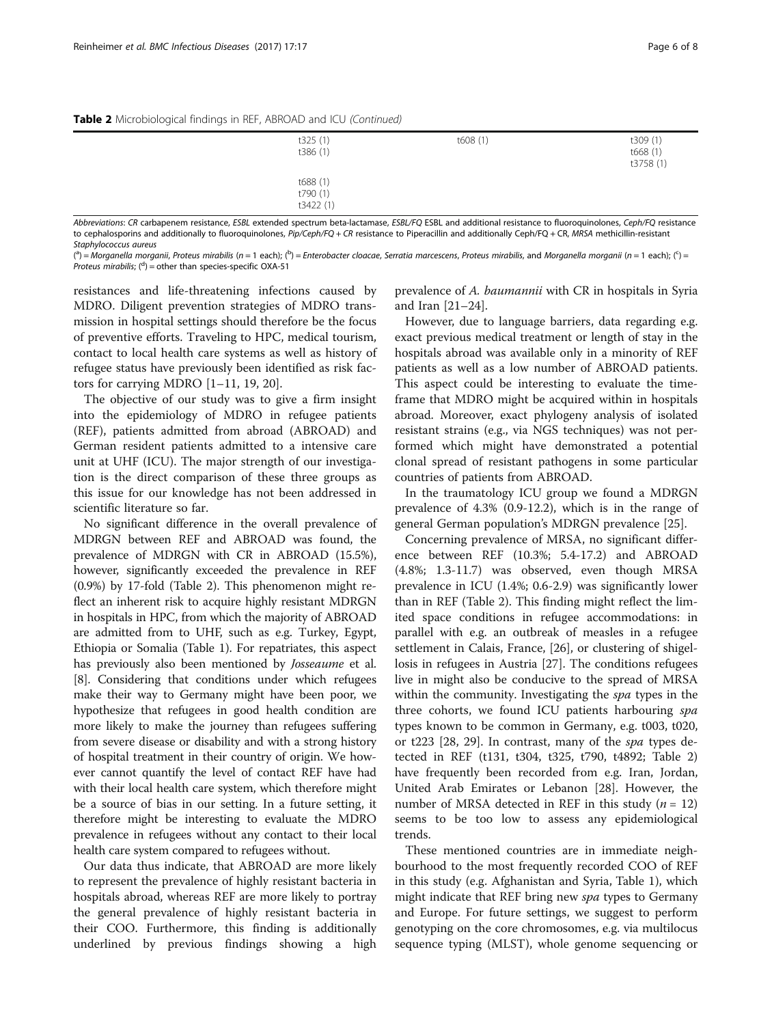| t325(1)<br>t386 (1)               | t608(1) | t309 (1)<br>t668 (1)<br>t3758 (1) |
|-----------------------------------|---------|-----------------------------------|
| t688 (1)<br>t790 (1)<br>t3422 (1) |         |                                   |

Abbreviations: CR carbapenem resistance, ESBL extended spectrum beta-lactamase, ESBL/FO ESBL and additional resistance to fluoroquinolones, Ceph/FO resistance to cephalosporins and additionally to fluoroquinolones, Pip/Ceph/FQ + CR resistance to Piperacillin and additionally Ceph/FQ + CR, MRSA methicillin-resistant Stantylococcus qureus

(ª) = Morganella morganii, Proteus mirabilis (n = 1 each); (<sup>b</sup>) = Enterobacter cloacae, Serratia marcescens, Proteus mirabilis, and Morganella morganii (n = 1 each); (<sup>c</sup>) =<br>Proteus mirabilis: (<sup>d</sup>) = other than species-s *Proteus mirabilis*;  $\binom{d}{ }$  = other than species-specific OXA-51

resistances and life-threatening infections caused by MDRO. Diligent prevention strategies of MDRO transmission in hospital settings should therefore be the focus of preventive efforts. Traveling to HPC, medical tourism, contact to local health care systems as well as history of refugee status have previously been identified as risk factors for carrying MDRO [\[1](#page-6-0)–[11,](#page-6-0) [19, 20\]](#page-7-0).

The objective of our study was to give a firm insight into the epidemiology of MDRO in refugee patients (REF), patients admitted from abroad (ABROAD) and German resident patients admitted to a intensive care unit at UHF (ICU). The major strength of our investigation is the direct comparison of these three groups as this issue for our knowledge has not been addressed in scientific literature so far.

No significant difference in the overall prevalence of MDRGN between REF and ABROAD was found, the prevalence of MDRGN with CR in ABROAD (15.5%), however, significantly exceeded the prevalence in REF (0.9%) by 17-fold (Table [2](#page-4-0)). This phenomenon might reflect an inherent risk to acquire highly resistant MDRGN in hospitals in HPC, from which the majority of ABROAD are admitted from to UHF, such as e.g. Turkey, Egypt, Ethiopia or Somalia (Table [1\)](#page-2-0). For repatriates, this aspect has previously also been mentioned by Josseaume et al. [[8\]](#page-6-0). Considering that conditions under which refugees make their way to Germany might have been poor, we hypothesize that refugees in good health condition are more likely to make the journey than refugees suffering from severe disease or disability and with a strong history of hospital treatment in their country of origin. We however cannot quantify the level of contact REF have had with their local health care system, which therefore might be a source of bias in our setting. In a future setting, it therefore might be interesting to evaluate the MDRO prevalence in refugees without any contact to their local health care system compared to refugees without.

Our data thus indicate, that ABROAD are more likely to represent the prevalence of highly resistant bacteria in hospitals abroad, whereas REF are more likely to portray the general prevalence of highly resistant bacteria in their COO. Furthermore, this finding is additionally underlined by previous findings showing a high

prevalence of A. baumannii with CR in hospitals in Syria and Iran [[21](#page-7-0)–[24](#page-7-0)].

However, due to language barriers, data regarding e.g. exact previous medical treatment or length of stay in the hospitals abroad was available only in a minority of REF patients as well as a low number of ABROAD patients. This aspect could be interesting to evaluate the timeframe that MDRO might be acquired within in hospitals abroad. Moreover, exact phylogeny analysis of isolated resistant strains (e.g., via NGS techniques) was not performed which might have demonstrated a potential clonal spread of resistant pathogens in some particular countries of patients from ABROAD.

In the traumatology ICU group we found a MDRGN prevalence of 4.3% (0.9-12.2), which is in the range of general German population's MDRGN prevalence [\[25\]](#page-7-0).

Concerning prevalence of MRSA, no significant difference between REF (10.3%; 5.4-17.2) and ABROAD (4.8%; 1.3-11.7) was observed, even though MRSA prevalence in ICU (1.4%; 0.6-2.9) was significantly lower than in REF (Table [2\)](#page-4-0). This finding might reflect the limited space conditions in refugee accommodations: in parallel with e.g. an outbreak of measles in a refugee settlement in Calais, France, [\[26](#page-7-0)], or clustering of shigellosis in refugees in Austria [\[27](#page-7-0)]. The conditions refugees live in might also be conducive to the spread of MRSA within the community. Investigating the *spa* types in the three cohorts, we found ICU patients harbouring spa types known to be common in Germany, e.g. t003, t020, or t223 [\[28, 29\]](#page-7-0). In contrast, many of the spa types detected in REF (t131, t304, t325, t790, t4892; Table [2](#page-4-0)) have frequently been recorded from e.g. Iran, Jordan, United Arab Emirates or Lebanon [\[28\]](#page-7-0). However, the number of MRSA detected in REF in this study ( $n = 12$ ) seems to be too low to assess any epidemiological trends.

These mentioned countries are in immediate neighbourhood to the most frequently recorded COO of REF in this study (e.g. Afghanistan and Syria, Table [1](#page-2-0)), which might indicate that REF bring new *spa* types to Germany and Europe. For future settings, we suggest to perform genotyping on the core chromosomes, e.g. via multilocus sequence typing (MLST), whole genome sequencing or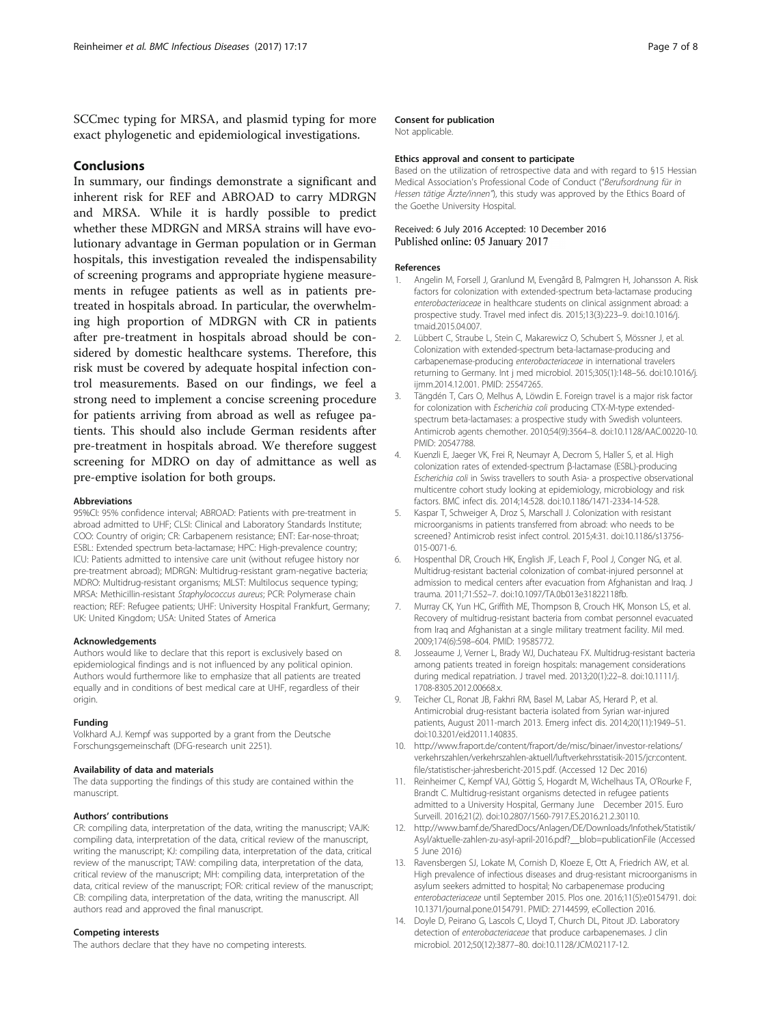<span id="page-6-0"></span>SCCmec typing for MRSA, and plasmid typing for more exact phylogenetic and epidemiological investigations.

## Conclusions

In summary, our findings demonstrate a significant and inherent risk for REF and ABROAD to carry MDRGN and MRSA. While it is hardly possible to predict whether these MDRGN and MRSA strains will have evolutionary advantage in German population or in German hospitals, this investigation revealed the indispensability of screening programs and appropriate hygiene measurements in refugee patients as well as in patients pretreated in hospitals abroad. In particular, the overwhelming high proportion of MDRGN with CR in patients after pre-treatment in hospitals abroad should be considered by domestic healthcare systems. Therefore, this risk must be covered by adequate hospital infection control measurements. Based on our findings, we feel a strong need to implement a concise screening procedure for patients arriving from abroad as well as refugee patients. This should also include German residents after pre-treatment in hospitals abroad. We therefore suggest screening for MDRO on day of admittance as well as pre-emptive isolation for both groups.

#### Abbreviations

95%CI: 95% confidence interval; ABROAD: Patients with pre-treatment in abroad admitted to UHF; CLSI: Clinical and Laboratory Standards Institute; COO: Country of origin; CR: Carbapenem resistance; ENT: Ear-nose-throat; ESBL: Extended spectrum beta-lactamase; HPC: High-prevalence country; ICU: Patients admitted to intensive care unit (without refugee history nor pre-treatment abroad); MDRGN: Multidrug-resistant gram-negative bacteria; MDRO: Multidrug-resistant organisms; MLST: Multilocus sequence typing; MRSA: Methicillin-resistant Staphylococcus aureus; PCR: Polymerase chain reaction; REF: Refugee patients; UHF: University Hospital Frankfurt, Germany; UK: United Kingdom; USA: United States of America

#### Acknowledgements

Authors would like to declare that this report is exclusively based on epidemiological findings and is not influenced by any political opinion. Authors would furthermore like to emphasize that all patients are treated equally and in conditions of best medical care at UHF, regardless of their origin.

#### Funding

Volkhard A.J. Kempf was supported by a grant from the Deutsche Forschungsgemeinschaft (DFG-research unit 2251).

#### Availability of data and materials

The data supporting the findings of this study are contained within the manuscript.

#### Authors' contributions

CR: compiling data, interpretation of the data, writing the manuscript; VAJK: compiling data, interpretation of the data, critical review of the manuscript, writing the manuscript; KJ: compiling data, interpretation of the data, critical review of the manuscript; TAW: compiling data, interpretation of the data, critical review of the manuscript; MH: compiling data, interpretation of the data, critical review of the manuscript; FOR: critical review of the manuscript; CB: compiling data, interpretation of the data, writing the manuscript. All authors read and approved the final manuscript.

### Competing interests

The authors declare that they have no competing interests.

#### Consent for publication

Not applicable.

#### Ethics approval and consent to participate

Based on the utilization of retrospective data and with regard to §15 Hessian Medical Association's Professional Code of Conduct ("Berufsordnung für in Hessen tätige Ärzte/innen"), this study was approved by the Ethics Board of the Goethe University Hospital.

### Received: 6 July 2016 Accepted: 10 December 2016 Published online: 05 January 2017

#### References

- 1. Angelin M, Forsell J, Granlund M, Evengård B, Palmgren H, Johansson A. Risk factors for colonization with extended-spectrum beta-lactamase producing enterobacteriaceae in healthcare students on clinical assignment abroad: a prospective study. Travel med infect dis. 2015;13(3):223–9. doi:[10.1016/j.](http://dx.doi.org/10.1016/j.tmaid.2015.04.007) [tmaid.2015.04.007](http://dx.doi.org/10.1016/j.tmaid.2015.04.007).
- 2. Lübbert C, Straube L, Stein C, Makarewicz O, Schubert S, Mössner J, et al. Colonization with extended-spectrum beta-lactamase-producing and carbapenemase-producing enterobacteriaceae in international travelers returning to Germany. Int j med microbiol. 2015;305(1):148–56. doi:[10.1016/j.](http://dx.doi.org/10.1016/j.ijmm.2014.12.001) [ijmm.2014.12.001.](http://dx.doi.org/10.1016/j.ijmm.2014.12.001) PMID: 25547265.
- 3. Tängdén T, Cars O, Melhus A, Löwdin E. Foreign travel is a major risk factor for colonization with Escherichia coli producing CTX-M-type extendedspectrum beta-lactamases: a prospective study with Swedish volunteers. Antimicrob agents chemother. 2010;54(9):3564–8. doi:[10.1128/AAC.00220-10](http://dx.doi.org/10.1128/AAC.00220-10). PMID: 20547788.
- 4. Kuenzli E, Jaeger VK, Frei R, Neumayr A, Decrom S, Haller S, et al. High colonization rates of extended-spectrum β-lactamase (ESBL)-producing Escherichia coli in Swiss travellers to south Asia- a prospective observational multicentre cohort study looking at epidemiology, microbiology and risk factors. BMC infect dis. 2014;14:528. doi:[10.1186/1471-2334-14-528.](http://dx.doi.org/10.1186/1471-2334-14-528)
- Kaspar T, Schweiger A, Droz S, Marschall J. Colonization with resistant microorganisms in patients transferred from abroad: who needs to be screened? Antimicrob resist infect control. 2015;4:31. doi:[10.1186/s13756-](http://dx.doi.org/10.1186/s13756-015-0071-6) [015-0071-6](http://dx.doi.org/10.1186/s13756-015-0071-6).
- 6. Hospenthal DR, Crouch HK, English JF, Leach F, Pool J, Conger NG, et al. Multidrug-resistant bacterial colonization of combat-injured personnel at admission to medical centers after evacuation from Afghanistan and Iraq. J trauma. 2011;71:S52–7. doi:[10.1097/TA.0b013e31822118fb](http://dx.doi.org/10.1097/TA.0b013e31822118fb).
- 7. Murray CK, Yun HC, Griffith ME, Thompson B, Crouch HK, Monson LS, et al. Recovery of multidrug-resistant bacteria from combat personnel evacuated from Iraq and Afghanistan at a single military treatment facility. Mil med. 2009;174(6):598–604. PMID: 19585772.
- 8. Josseaume J, Verner L, Brady WJ, Duchateau FX. Multidrug-resistant bacteria among patients treated in foreign hospitals: management considerations during medical repatriation. J travel med. 2013;20(1):22–8. doi[:10.1111/j.](http://dx.doi.org/10.1111/j.1708-8305.2012.00668.x) [1708-8305.2012.00668.x](http://dx.doi.org/10.1111/j.1708-8305.2012.00668.x).
- 9. Teicher CL, Ronat JB, Fakhri RM, Basel M, Labar AS, Herard P, et al. Antimicrobial drug-resistant bacteria isolated from Syrian war-injured patients, August 2011-march 2013. Emerg infect dis. 2014;20(11):1949–51. doi[:10.3201/eid2011.140835](http://dx.doi.org/10.3201/eid2011.140835).
- 10. [http://www.fraport.de/content/fraport/de/misc/binaer/investor-relations/](http://www.fraport.de/content/fraport/de/misc/binaer/investor-relations/verkehrszahlen/verkehrszahlen-aktuell/luftverkehrsstatisik-2015/jcr:content.file/statistischer-jahresbericht-2015.pdf) [verkehrszahlen/verkehrszahlen-aktuell/luftverkehrsstatisik-2015/jcr:content.](http://www.fraport.de/content/fraport/de/misc/binaer/investor-relations/verkehrszahlen/verkehrszahlen-aktuell/luftverkehrsstatisik-2015/jcr:content.file/statistischer-jahresbericht-2015.pdf) [file/statistischer-jahresbericht-2015.pdf](http://www.fraport.de/content/fraport/de/misc/binaer/investor-relations/verkehrszahlen/verkehrszahlen-aktuell/luftverkehrsstatisik-2015/jcr:content.file/statistischer-jahresbericht-2015.pdf). (Accessed 12 Dec 2016)
- 11. Reinheimer C, Kempf VAJ, Göttig S, Hogardt M, Wichelhaus TA, O'Rourke F, Brandt C. Multidrug-resistant organisms detected in refugee patients admitted to a University Hospital, Germany June December 2015. Euro Surveill. 2016;21(2). doi:[10.2807/1560-7917.ES.2016.21.2.30110](http://dx.doi.org/10.2807/1560-7917.ES.2016.21.2.30110).
- 12. [http://www.bamf.de/SharedDocs/Anlagen/DE/Downloads/Infothek/Statistik/](http://www.bamf.de/SharedDocs/Anlagen/DE/Downloads/Infothek/Statistik/Asyl/aktuelle-zahlen-zu-asyl-april-2016.pdf?__blob=publicationFile) [Asyl/aktuelle-zahlen-zu-asyl-april-2016.pdf?\\_\\_blob=publicationFile](http://www.bamf.de/SharedDocs/Anlagen/DE/Downloads/Infothek/Statistik/Asyl/aktuelle-zahlen-zu-asyl-april-2016.pdf?__blob=publicationFile) (Accessed 5 June 2016)
- 13. Ravensbergen SJ, Lokate M, Cornish D, Kloeze E, Ott A, Friedrich AW, et al. High prevalence of infectious diseases and drug-resistant microorganisms in asylum seekers admitted to hospital; No carbapenemase producing enterobacteriaceae until September 2015. Plos one. 2016;11(5):e0154791. doi: [10.1371/journal.pone.0154791](http://dx.doi.org/10.1371/journal.pone.0154791). PMID: 27144599, eCollection 2016.
- 14. Doyle D, Peirano G, Lascols C, Lloyd T, Church DL, Pitout JD. Laboratory detection of enterobacteriaceae that produce carbapenemases. J clin microbiol. 2012;50(12):3877–80. doi:[10.1128/JCM.02117-12](http://dx.doi.org/10.1128/JCM.02117-12).